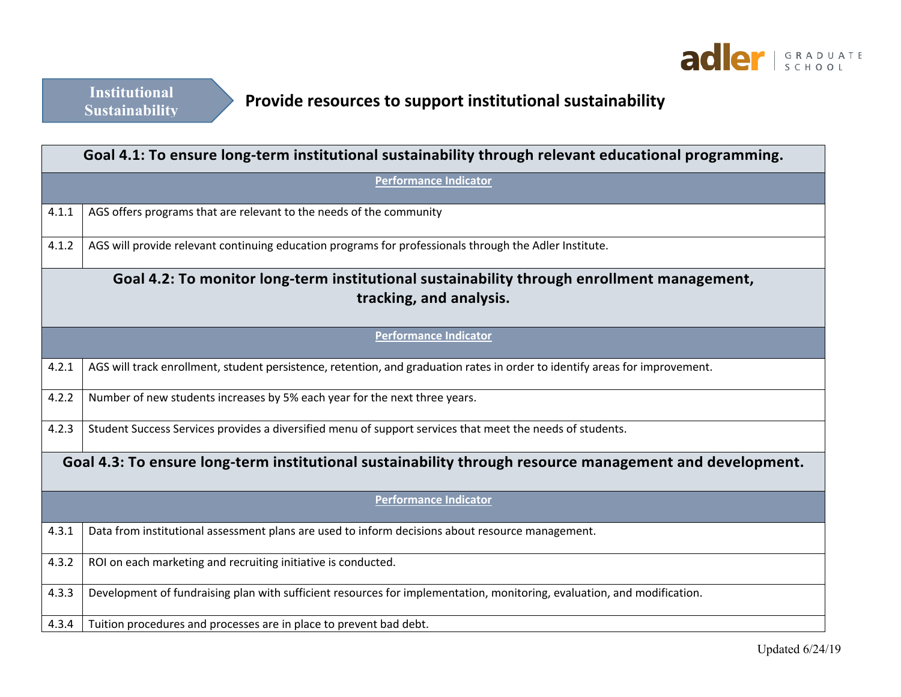

## **Provide resources to support institutional sustainability**

| Goal 4.1: To ensure long-term institutional sustainability through relevant educational programming.    |                                                                                                                             |  |
|---------------------------------------------------------------------------------------------------------|-----------------------------------------------------------------------------------------------------------------------------|--|
| <b>Performance Indicator</b>                                                                            |                                                                                                                             |  |
| 4.1.1                                                                                                   | AGS offers programs that are relevant to the needs of the community                                                         |  |
| 4.1.2                                                                                                   | AGS will provide relevant continuing education programs for professionals through the Adler Institute.                      |  |
| Goal 4.2: To monitor long-term institutional sustainability through enrollment management,              |                                                                                                                             |  |
|                                                                                                         | tracking, and analysis.                                                                                                     |  |
|                                                                                                         | <b>Performance Indicator</b>                                                                                                |  |
| 4.2.1                                                                                                   | AGS will track enrollment, student persistence, retention, and graduation rates in order to identify areas for improvement. |  |
| 4.2.2                                                                                                   | Number of new students increases by 5% each year for the next three years.                                                  |  |
| 4.2.3                                                                                                   | Student Success Services provides a diversified menu of support services that meet the needs of students.                   |  |
| Goal 4.3: To ensure long-term institutional sustainability through resource management and development. |                                                                                                                             |  |
| <b>Performance Indicator</b>                                                                            |                                                                                                                             |  |
| 4.3.1                                                                                                   | Data from institutional assessment plans are used to inform decisions about resource management.                            |  |
| 4.3.2                                                                                                   | ROI on each marketing and recruiting initiative is conducted.                                                               |  |
| 4.3.3                                                                                                   | Development of fundraising plan with sufficient resources for implementation, monitoring, evaluation, and modification.     |  |
| 4.3.4                                                                                                   | Tuition procedures and processes are in place to prevent bad debt.                                                          |  |